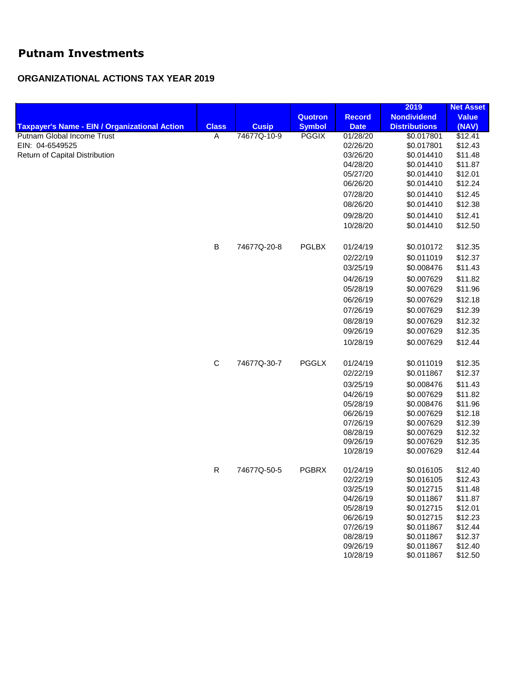## **Putnam Investments**

## **ORGANIZATIONAL ACTIONS TAX YEAR 2019**

|                                                      |              |              |               |               | 2019                 | <b>Net Asset</b> |
|------------------------------------------------------|--------------|--------------|---------------|---------------|----------------------|------------------|
|                                                      |              |              | Quotron       | <b>Record</b> | <b>Nondividend</b>   | <b>Value</b>     |
| <b>Taxpayer's Name - EIN / Organizational Action</b> | <b>Class</b> | <b>Cusip</b> | <b>Symbol</b> | <b>Date</b>   | <b>Distributions</b> | (NAV)            |
| Putnam Global Income Trust                           | A            | 74677Q-10-9  | <b>PGGIX</b>  | 01/28/20      | \$0.017801           | \$12.41          |
| EIN: 04-6549525<br>Return of Capital Distribution    |              |              |               | 02/26/20      | \$0.017801           | \$12.43          |
|                                                      |              |              |               | 03/26/20      | \$0.014410           | \$11.48          |
|                                                      |              |              |               | 04/28/20      | \$0.014410           | \$11.87          |
|                                                      |              |              |               | 05/27/20      | \$0.014410           | \$12.01          |
|                                                      |              |              |               | 06/26/20      | \$0.014410           | \$12.24          |
|                                                      |              |              |               | 07/28/20      | \$0.014410           | \$12.45          |
|                                                      |              |              |               | 08/26/20      | \$0.014410           | \$12.38          |
|                                                      |              |              |               | 09/28/20      | \$0.014410           | \$12.41          |
|                                                      |              |              |               | 10/28/20      | \$0.014410           | \$12.50          |
|                                                      | $\sf B$      | 74677Q-20-8  | <b>PGLBX</b>  | 01/24/19      | \$0.010172           | \$12.35          |
|                                                      |              |              |               | 02/22/19      | \$0.011019           | \$12.37          |
|                                                      |              |              |               | 03/25/19      | \$0.008476           | \$11.43          |
|                                                      |              |              |               | 04/26/19      | \$0.007629           | \$11.82          |
|                                                      |              |              |               | 05/28/19      | \$0.007629           | \$11.96          |
|                                                      |              |              |               | 06/26/19      | \$0.007629           | \$12.18          |
|                                                      |              |              |               | 07/26/19      | \$0.007629           | \$12.39          |
|                                                      |              |              |               | 08/28/19      | \$0.007629           | \$12.32          |
|                                                      |              |              |               | 09/26/19      | \$0.007629           | \$12.35          |
|                                                      |              |              |               | 10/28/19      | \$0.007629           | \$12.44          |
|                                                      | $\mathbf C$  | 74677Q-30-7  | <b>PGGLX</b>  | 01/24/19      | \$0.011019           | \$12.35          |
|                                                      |              |              |               | 02/22/19      | \$0.011867           | \$12.37          |
|                                                      |              |              |               | 03/25/19      | \$0.008476           | \$11.43          |
|                                                      |              |              |               | 04/26/19      | \$0.007629           | \$11.82          |
|                                                      |              |              |               | 05/28/19      | \$0.008476           | \$11.96          |
|                                                      |              |              |               | 06/26/19      | \$0.007629           | \$12.18          |
|                                                      |              |              |               | 07/26/19      | \$0.007629           | \$12.39          |
|                                                      |              |              |               | 08/28/19      | \$0.007629           | \$12.32          |
|                                                      |              |              |               | 09/26/19      | \$0.007629           | \$12.35          |
|                                                      |              |              |               | 10/28/19      | \$0.007629           | \$12.44          |
|                                                      | ${\sf R}$    | 74677Q-50-5  | <b>PGBRX</b>  | 01/24/19      | \$0.016105           | \$12.40          |
|                                                      |              |              |               | 02/22/19      | \$0.016105           | \$12.43          |
|                                                      |              |              |               | 03/25/19      | \$0.012715           | \$11.48          |
|                                                      |              |              |               | 04/26/19      | \$0.011867           | \$11.87          |
|                                                      |              |              |               | 05/28/19      | \$0.012715           | \$12.01          |
|                                                      |              |              |               | 06/26/19      | \$0.012715           | \$12.23          |
|                                                      |              |              |               | 07/26/19      | \$0.011867           | \$12.44          |
|                                                      |              |              |               | 08/28/19      | \$0.011867           | \$12.37          |
|                                                      |              |              |               | 09/26/19      | \$0.011867           | \$12.40          |
|                                                      |              |              |               | 10/28/19      | \$0.011867           | \$12.50          |